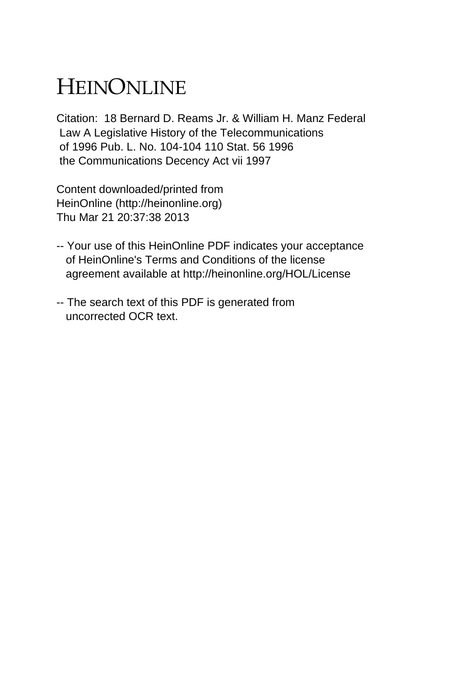# HEINONLINE

Citation: 18 Bernard D. Reams Jr. & William H. Manz Federal Law A Legislative History of the Telecommunications of 1996 Pub. L. No. 104-104 110 Stat. 56 1996 the Communications Decency Act vii 1997

Content downloaded/printed from HeinOnline (http://heinonline.org) Thu Mar 21 20:37:38 2013

- -- Your use of this HeinOnline PDF indicates your acceptance of HeinOnline's Terms and Conditions of the license agreement available at http://heinonline.org/HOL/License
- -- The search text of this PDF is generated from uncorrected OCR text.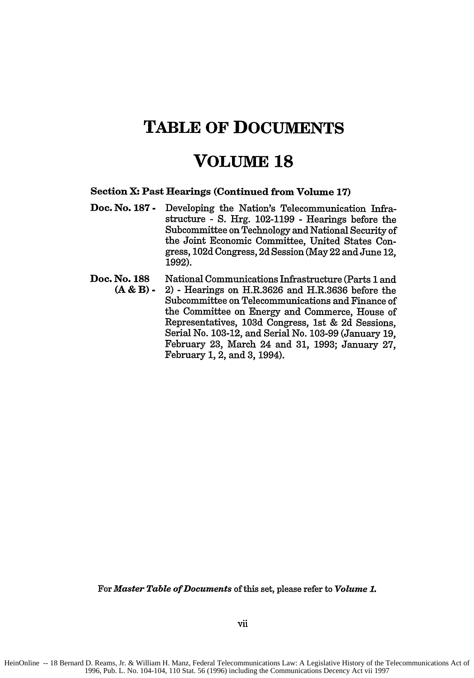### **TABLE OF DOCUMENTS**

#### **VOLUME 18**

#### **Section X. Past Hearings (Continued from Volume 17)**

- **Doe. No. 187 -** Developing the Nation's Telecommunication Infrastructure - **S.** Hrg. **102-1199 -** Hearings before the Subcommittee on Technology and National Security of the Joint Economic Committee, United States Congress, 102d Congress, 2d Session (May 22 and June 12, 1992).
- **Doc. No. 188 (A& B) -** National Communications Infrastructure (Parts **1** and 2) - Hearings on H.R.3626 and H.R.3636 before the Subcommittee on Telecommunications and Finance of the Committee on Energy and Commerce, House of Representatives, 103d Congress, 1st & 2d Sessions, Serial No. 103-12, and Serial No. 103-99 (January **19,** February 23, March 24 and 31, 1993; January 27, February **1,** 2, and 3, 1994).

For *Master Table of Documents* of this set, please refer to *Volume 1.*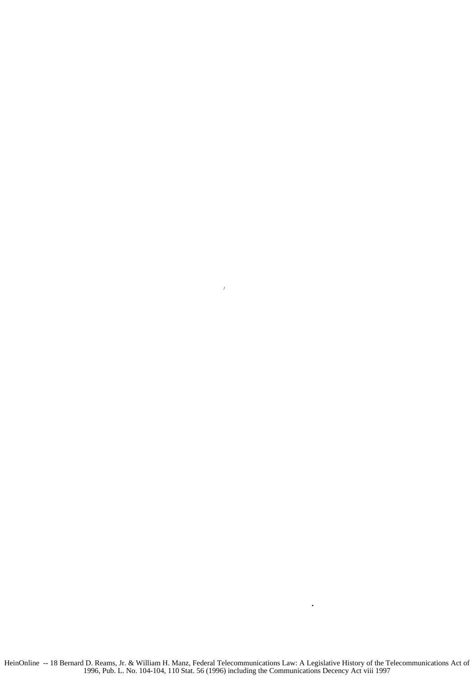HeinOnline -- 18 Bernard D. Reams, Jr. & William H. Manz, Federal Telecommunications Law: A Legislative History of the Telecommunications Act of 1996, Pub. L. No. 104-104, 110 Stat. 56 (1996) including the Communications Decency Act viii 1997

 $\ddot{\phantom{a}}$ 

 $\sim$   $\bar{E}$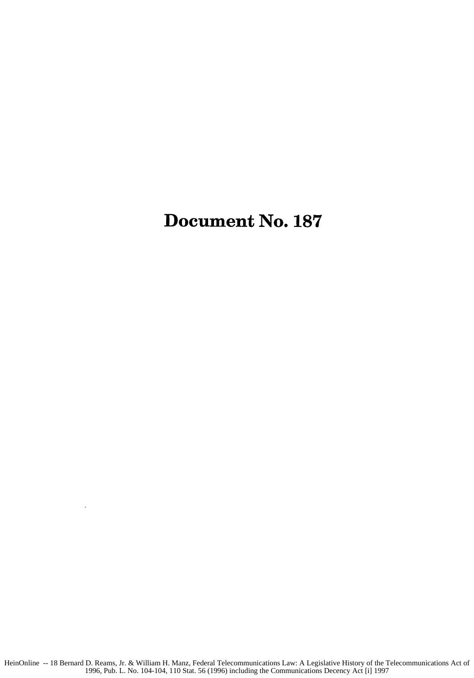## Document No. **187**